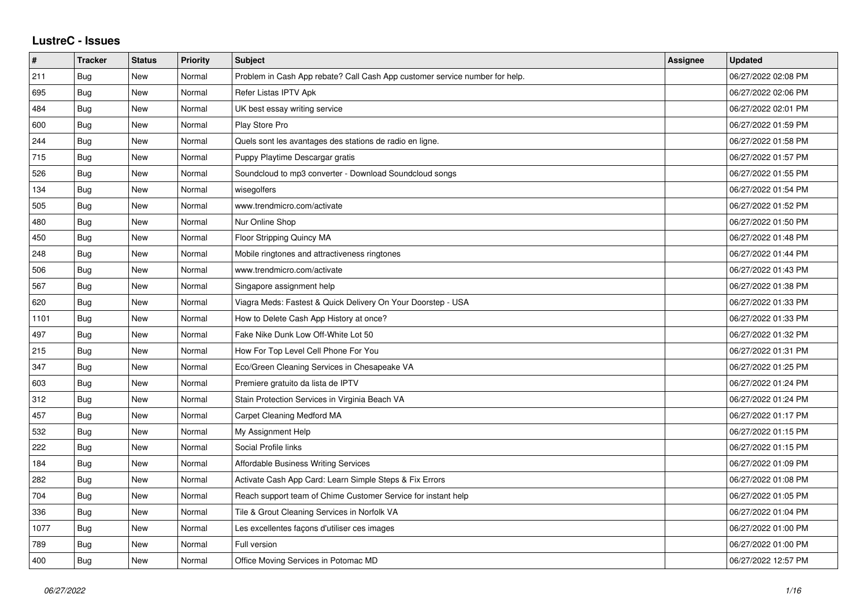## **LustreC - Issues**

| $\sharp$ | <b>Tracker</b> | <b>Status</b> | Priority | <b>Subject</b>                                                              | Assignee | <b>Updated</b>      |
|----------|----------------|---------------|----------|-----------------------------------------------------------------------------|----------|---------------------|
| 211      | Bug            | New           | Normal   | Problem in Cash App rebate? Call Cash App customer service number for help. |          | 06/27/2022 02:08 PM |
| 695      | <b>Bug</b>     | <b>New</b>    | Normal   | Refer Listas IPTV Apk                                                       |          | 06/27/2022 02:06 PM |
| 484      | Bug            | <b>New</b>    | Normal   | UK best essay writing service                                               |          | 06/27/2022 02:01 PM |
| 600      | Bug            | <b>New</b>    | Normal   | Play Store Pro                                                              |          | 06/27/2022 01:59 PM |
| 244      | Bug            | <b>New</b>    | Normal   | Quels sont les avantages des stations de radio en ligne.                    |          | 06/27/2022 01:58 PM |
| 715      | Bug            | <b>New</b>    | Normal   | Puppy Playtime Descargar gratis                                             |          | 06/27/2022 01:57 PM |
| 526      | Bug            | <b>New</b>    | Normal   | Soundcloud to mp3 converter - Download Soundcloud songs                     |          | 06/27/2022 01:55 PM |
| 134      | Bug            | <b>New</b>    | Normal   | wisegolfers                                                                 |          | 06/27/2022 01:54 PM |
| 505      | Bug            | New           | Normal   | www.trendmicro.com/activate                                                 |          | 06/27/2022 01:52 PM |
| 480      | Bug            | <b>New</b>    | Normal   | Nur Online Shop                                                             |          | 06/27/2022 01:50 PM |
| 450      | Bug            | <b>New</b>    | Normal   | Floor Stripping Quincy MA                                                   |          | 06/27/2022 01:48 PM |
| 248      | Bug            | New           | Normal   | Mobile ringtones and attractiveness ringtones                               |          | 06/27/2022 01:44 PM |
| 506      | Bug            | <b>New</b>    | Normal   | www.trendmicro.com/activate                                                 |          | 06/27/2022 01:43 PM |
| 567      | Bug            | New           | Normal   | Singapore assignment help                                                   |          | 06/27/2022 01:38 PM |
| 620      | Bug            | <b>New</b>    | Normal   | Viagra Meds: Fastest & Quick Delivery On Your Doorstep - USA                |          | 06/27/2022 01:33 PM |
| 1101     | Bug            | <b>New</b>    | Normal   | How to Delete Cash App History at once?                                     |          | 06/27/2022 01:33 PM |
| 497      | Bug            | New           | Normal   | Fake Nike Dunk Low Off-White Lot 50                                         |          | 06/27/2022 01:32 PM |
| 215      | Bug            | <b>New</b>    | Normal   | How For Top Level Cell Phone For You                                        |          | 06/27/2022 01:31 PM |
| 347      | Bug            | <b>New</b>    | Normal   | Eco/Green Cleaning Services in Chesapeake VA                                |          | 06/27/2022 01:25 PM |
| 603      | Bug            | New           | Normal   | Premiere gratuito da lista de IPTV                                          |          | 06/27/2022 01:24 PM |
| 312      | Bug            | <b>New</b>    | Normal   | Stain Protection Services in Virginia Beach VA                              |          | 06/27/2022 01:24 PM |
| 457      | Bug            | <b>New</b>    | Normal   | Carpet Cleaning Medford MA                                                  |          | 06/27/2022 01:17 PM |
| 532      | Bug            | New           | Normal   | My Assignment Help                                                          |          | 06/27/2022 01:15 PM |
| 222      | Bug            | <b>New</b>    | Normal   | Social Profile links                                                        |          | 06/27/2022 01:15 PM |
| 184      | Bug            | <b>New</b>    | Normal   | Affordable Business Writing Services                                        |          | 06/27/2022 01:09 PM |
| 282      | Bug            | New           | Normal   | Activate Cash App Card: Learn Simple Steps & Fix Errors                     |          | 06/27/2022 01:08 PM |
| 704      | Bug            | New           | Normal   | Reach support team of Chime Customer Service for instant help               |          | 06/27/2022 01:05 PM |
| 336      | Bug            | New           | Normal   | Tile & Grout Cleaning Services in Norfolk VA                                |          | 06/27/2022 01:04 PM |
| 1077     | Bug            | New           | Normal   | Les excellentes façons d'utiliser ces images                                |          | 06/27/2022 01:00 PM |
| 789      | Bug            | <b>New</b>    | Normal   | Full version                                                                |          | 06/27/2022 01:00 PM |
| 400      | Bug            | <b>New</b>    | Normal   | Office Moving Services in Potomac MD                                        |          | 06/27/2022 12:57 PM |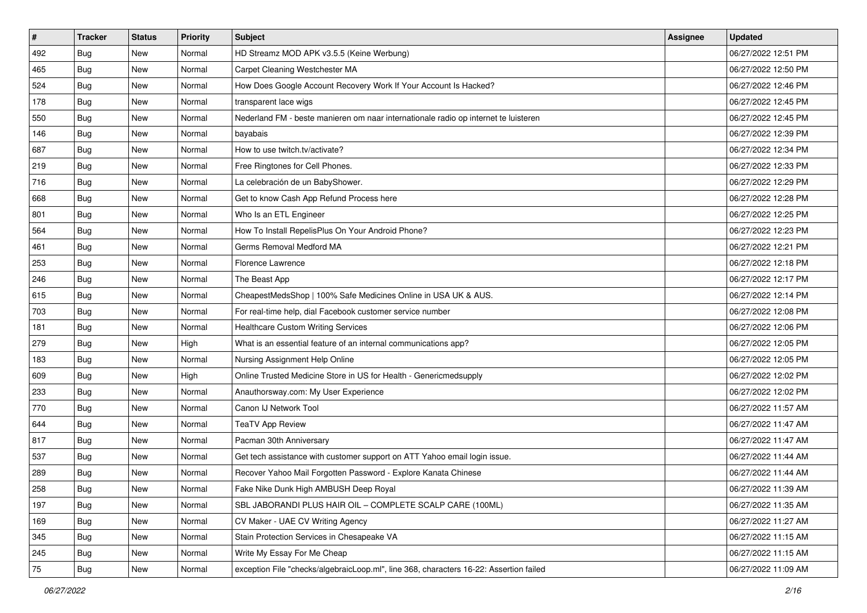| $\sharp$ | <b>Tracker</b> | <b>Status</b> | Priority | <b>Subject</b>                                                                         | <b>Assignee</b> | <b>Updated</b>      |
|----------|----------------|---------------|----------|----------------------------------------------------------------------------------------|-----------------|---------------------|
| 492      | <b>Bug</b>     | New           | Normal   | HD Streamz MOD APK v3.5.5 (Keine Werbung)                                              |                 | 06/27/2022 12:51 PM |
| 465      | Bug            | New           | Normal   | Carpet Cleaning Westchester MA                                                         |                 | 06/27/2022 12:50 PM |
| 524      | Bug            | New           | Normal   | How Does Google Account Recovery Work If Your Account Is Hacked?                       |                 | 06/27/2022 12:46 PM |
| 178      | Bug            | New           | Normal   | transparent lace wigs                                                                  |                 | 06/27/2022 12:45 PM |
| 550      | Bug            | New           | Normal   | Nederland FM - beste manieren om naar internationale radio op internet te luisteren    |                 | 06/27/2022 12:45 PM |
| 146      | <b>Bug</b>     | New           | Normal   | bayabais                                                                               |                 | 06/27/2022 12:39 PM |
| 687      | Bug            | New           | Normal   | How to use twitch.tv/activate?                                                         |                 | 06/27/2022 12:34 PM |
| 219      | Bug            | New           | Normal   | Free Ringtones for Cell Phones.                                                        |                 | 06/27/2022 12:33 PM |
| 716      | Bug            | New           | Normal   | La celebración de un BabyShower.                                                       |                 | 06/27/2022 12:29 PM |
| 668      | Bug            | New           | Normal   | Get to know Cash App Refund Process here                                               |                 | 06/27/2022 12:28 PM |
| 801      | <b>Bug</b>     | New           | Normal   | Who Is an ETL Engineer                                                                 |                 | 06/27/2022 12:25 PM |
| 564      | Bug            | New           | Normal   | How To Install RepelisPlus On Your Android Phone?                                      |                 | 06/27/2022 12:23 PM |
| 461      | Bug            | New           | Normal   | Germs Removal Medford MA                                                               |                 | 06/27/2022 12:21 PM |
| 253      | Bug            | New           | Normal   | Florence Lawrence                                                                      |                 | 06/27/2022 12:18 PM |
| 246      | Bug            | New           | Normal   | The Beast App                                                                          |                 | 06/27/2022 12:17 PM |
| 615      | Bug            | New           | Normal   | CheapestMedsShop   100% Safe Medicines Online in USA UK & AUS.                         |                 | 06/27/2022 12:14 PM |
| 703      | Bug            | New           | Normal   | For real-time help, dial Facebook customer service number                              |                 | 06/27/2022 12:08 PM |
| 181      | Bug            | New           | Normal   | <b>Healthcare Custom Writing Services</b>                                              |                 | 06/27/2022 12:06 PM |
| 279      | Bug            | New           | High     | What is an essential feature of an internal communications app?                        |                 | 06/27/2022 12:05 PM |
| 183      | Bug            | New           | Normal   | Nursing Assignment Help Online                                                         |                 | 06/27/2022 12:05 PM |
| 609      | <b>Bug</b>     | New           | High     | Online Trusted Medicine Store in US for Health - Genericmedsupply                      |                 | 06/27/2022 12:02 PM |
| 233      | Bug            | New           | Normal   | Anauthorsway.com: My User Experience                                                   |                 | 06/27/2022 12:02 PM |
| 770      | Bug            | New           | Normal   | Canon IJ Network Tool                                                                  |                 | 06/27/2022 11:57 AM |
| 644      | <b>Bug</b>     | New           | Normal   | <b>TeaTV App Review</b>                                                                |                 | 06/27/2022 11:47 AM |
| 817      | Bug            | New           | Normal   | Pacman 30th Anniversary                                                                |                 | 06/27/2022 11:47 AM |
| 537      | Bug            | New           | Normal   | Get tech assistance with customer support on ATT Yahoo email login issue.              |                 | 06/27/2022 11:44 AM |
| 289      | <b>Bug</b>     | New           | Normal   | Recover Yahoo Mail Forgotten Password - Explore Kanata Chinese                         |                 | 06/27/2022 11:44 AM |
| 258      | I Bug          | New           | Normal   | Fake Nike Dunk High AMBUSH Deep Royal                                                  |                 | 06/27/2022 11:39 AM |
| 197      | <b>Bug</b>     | New           | Normal   | SBL JABORANDI PLUS HAIR OIL - COMPLETE SCALP CARE (100ML)                              |                 | 06/27/2022 11:35 AM |
| 169      | Bug            | New           | Normal   | CV Maker - UAE CV Writing Agency                                                       |                 | 06/27/2022 11:27 AM |
| 345      | <b>Bug</b>     | New           | Normal   | Stain Protection Services in Chesapeake VA                                             |                 | 06/27/2022 11:15 AM |
| 245      | Bug            | New           | Normal   | Write My Essay For Me Cheap                                                            |                 | 06/27/2022 11:15 AM |
| 75       | <b>Bug</b>     | New           | Normal   | exception File "checks/algebraicLoop.ml", line 368, characters 16-22: Assertion failed |                 | 06/27/2022 11:09 AM |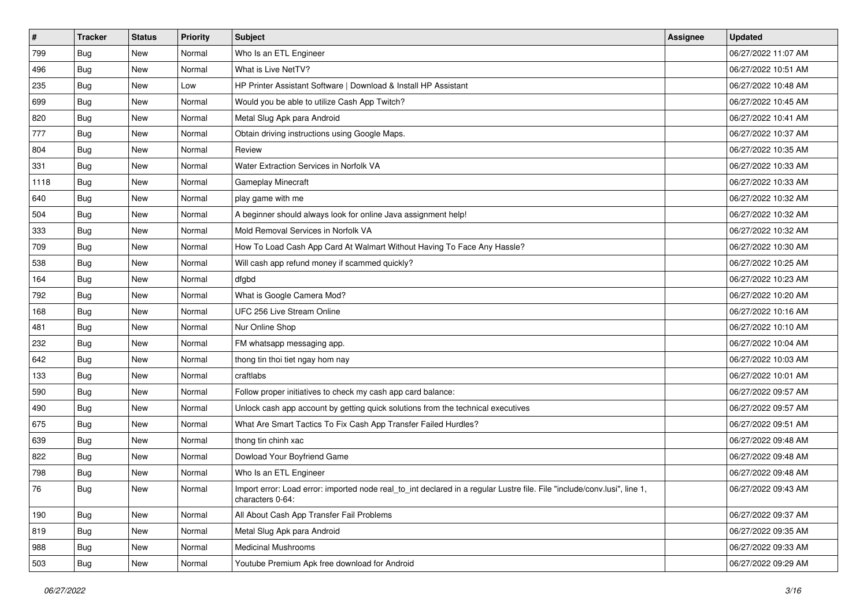| $\sharp$ | <b>Tracker</b> | <b>Status</b> | Priority | <b>Subject</b>                                                                                                                               | <b>Assignee</b> | <b>Updated</b>      |
|----------|----------------|---------------|----------|----------------------------------------------------------------------------------------------------------------------------------------------|-----------------|---------------------|
| 799      | <b>Bug</b>     | New           | Normal   | Who Is an ETL Engineer                                                                                                                       |                 | 06/27/2022 11:07 AM |
| 496      | <b>Bug</b>     | New           | Normal   | What is Live NetTV?                                                                                                                          |                 | 06/27/2022 10:51 AM |
| 235      | Bug            | New           | Low      | HP Printer Assistant Software   Download & Install HP Assistant                                                                              |                 | 06/27/2022 10:48 AM |
| 699      | <b>Bug</b>     | New           | Normal   | Would you be able to utilize Cash App Twitch?                                                                                                |                 | 06/27/2022 10:45 AM |
| 820      | <b>Bug</b>     | New           | Normal   | Metal Slug Apk para Android                                                                                                                  |                 | 06/27/2022 10:41 AM |
| 777      | <b>Bug</b>     | New           | Normal   | Obtain driving instructions using Google Maps.                                                                                               |                 | 06/27/2022 10:37 AM |
| 804      | Bug            | New           | Normal   | Review                                                                                                                                       |                 | 06/27/2022 10:35 AM |
| 331      | <b>Bug</b>     | New           | Normal   | Water Extraction Services in Norfolk VA                                                                                                      |                 | 06/27/2022 10:33 AM |
| 1118     | <b>Bug</b>     | New           | Normal   | Gameplay Minecraft                                                                                                                           |                 | 06/27/2022 10:33 AM |
| 640      | Bug            | New           | Normal   | play game with me                                                                                                                            |                 | 06/27/2022 10:32 AM |
| 504      | <b>Bug</b>     | New           | Normal   | A beginner should always look for online Java assignment help!                                                                               |                 | 06/27/2022 10:32 AM |
| 333      | Bug            | New           | Normal   | Mold Removal Services in Norfolk VA                                                                                                          |                 | 06/27/2022 10:32 AM |
| 709      | Bug            | New           | Normal   | How To Load Cash App Card At Walmart Without Having To Face Any Hassle?                                                                      |                 | 06/27/2022 10:30 AM |
| 538      | <b>Bug</b>     | New           | Normal   | Will cash app refund money if scammed quickly?                                                                                               |                 | 06/27/2022 10:25 AM |
| 164      | <b>Bug</b>     | New           | Normal   | dfgbd                                                                                                                                        |                 | 06/27/2022 10:23 AM |
| 792      | Bug            | New           | Normal   | What is Google Camera Mod?                                                                                                                   |                 | 06/27/2022 10:20 AM |
| 168      | <b>Bug</b>     | New           | Normal   | UFC 256 Live Stream Online                                                                                                                   |                 | 06/27/2022 10:16 AM |
| 481      | Bug            | New           | Normal   | Nur Online Shop                                                                                                                              |                 | 06/27/2022 10:10 AM |
| 232      | Bug            | New           | Normal   | FM whatsapp messaging app.                                                                                                                   |                 | 06/27/2022 10:04 AM |
| 642      | <b>Bug</b>     | New           | Normal   | thong tin thoi tiet ngay hom nay                                                                                                             |                 | 06/27/2022 10:03 AM |
| 133      | Bug            | New           | Normal   | craftlabs                                                                                                                                    |                 | 06/27/2022 10:01 AM |
| 590      | <b>Bug</b>     | New           | Normal   | Follow proper initiatives to check my cash app card balance:                                                                                 |                 | 06/27/2022 09:57 AM |
| 490      | Bug            | New           | Normal   | Unlock cash app account by getting quick solutions from the technical executives                                                             |                 | 06/27/2022 09:57 AM |
| 675      | <b>Bug</b>     | New           | Normal   | What Are Smart Tactics To Fix Cash App Transfer Failed Hurdles?                                                                              |                 | 06/27/2022 09:51 AM |
| 639      | Bug            | New           | Normal   | thong tin chinh xac                                                                                                                          |                 | 06/27/2022 09:48 AM |
| 822      | Bug            | New           | Normal   | Dowload Your Boyfriend Game                                                                                                                  |                 | 06/27/2022 09:48 AM |
| 798      | <b>Bug</b>     | New           | Normal   | Who Is an ETL Engineer                                                                                                                       |                 | 06/27/2022 09:48 AM |
| 76       | Bug            | New           | Normal   | Import error: Load error: imported node real_to_int declared in a regular Lustre file. File "include/conv.lusi", line 1,<br>characters 0-64: |                 | 06/27/2022 09:43 AM |
| 190      | Bug            | New           | Normal   | All About Cash App Transfer Fail Problems                                                                                                    |                 | 06/27/2022 09:37 AM |
| 819      | <b>Bug</b>     | New           | Normal   | Metal Slug Apk para Android                                                                                                                  |                 | 06/27/2022 09:35 AM |
| 988      | <b>Bug</b>     | New           | Normal   | <b>Medicinal Mushrooms</b>                                                                                                                   |                 | 06/27/2022 09:33 AM |
| 503      | <b>Bug</b>     | New           | Normal   | Youtube Premium Apk free download for Android                                                                                                |                 | 06/27/2022 09:29 AM |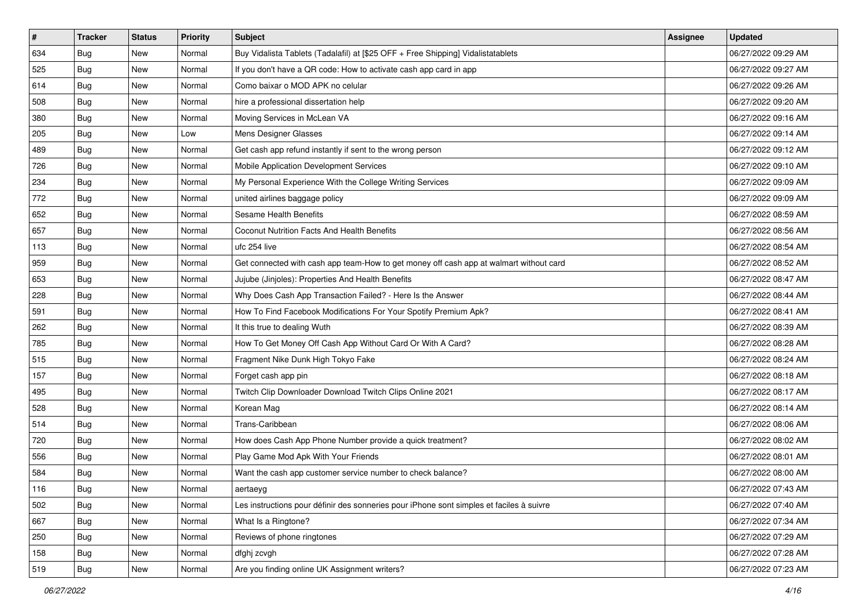| $\sharp$ | <b>Tracker</b> | <b>Status</b> | Priority | <b>Subject</b>                                                                           | <b>Assignee</b> | <b>Updated</b>      |
|----------|----------------|---------------|----------|------------------------------------------------------------------------------------------|-----------------|---------------------|
| 634      | <b>Bug</b>     | New           | Normal   | Buy Vidalista Tablets (Tadalafil) at [\$25 OFF + Free Shipping] Vidalistatablets         |                 | 06/27/2022 09:29 AM |
| 525      | Bug            | New           | Normal   | If you don't have a QR code: How to activate cash app card in app                        |                 | 06/27/2022 09:27 AM |
| 614      | Bug            | New           | Normal   | Como baixar o MOD APK no celular                                                         |                 | 06/27/2022 09:26 AM |
| 508      | <b>Bug</b>     | New           | Normal   | hire a professional dissertation help                                                    |                 | 06/27/2022 09:20 AM |
| 380      | Bug            | New           | Normal   | Moving Services in McLean VA                                                             |                 | 06/27/2022 09:16 AM |
| 205      | <b>Bug</b>     | New           | Low      | Mens Designer Glasses                                                                    |                 | 06/27/2022 09:14 AM |
| 489      | Bug            | New           | Normal   | Get cash app refund instantly if sent to the wrong person                                |                 | 06/27/2022 09:12 AM |
| 726      | <b>Bug</b>     | New           | Normal   | Mobile Application Development Services                                                  |                 | 06/27/2022 09:10 AM |
| 234      | Bug            | New           | Normal   | My Personal Experience With the College Writing Services                                 |                 | 06/27/2022 09:09 AM |
| 772      | <b>Bug</b>     | New           | Normal   | united airlines baggage policy                                                           |                 | 06/27/2022 09:09 AM |
| 652      | <b>Bug</b>     | New           | Normal   | Sesame Health Benefits                                                                   |                 | 06/27/2022 08:59 AM |
| 657      | Bug            | New           | Normal   | Coconut Nutrition Facts And Health Benefits                                              |                 | 06/27/2022 08:56 AM |
| 113      | Bug            | New           | Normal   | ufc 254 live                                                                             |                 | 06/27/2022 08:54 AM |
| 959      | Bug            | New           | Normal   | Get connected with cash app team-How to get money off cash app at walmart without card   |                 | 06/27/2022 08:52 AM |
| 653      | Bug            | New           | Normal   | Jujube (Jinjoles): Properties And Health Benefits                                        |                 | 06/27/2022 08:47 AM |
| 228      | Bug            | New           | Normal   | Why Does Cash App Transaction Failed? - Here Is the Answer                               |                 | 06/27/2022 08:44 AM |
| 591      | <b>Bug</b>     | New           | Normal   | How To Find Facebook Modifications For Your Spotify Premium Apk?                         |                 | 06/27/2022 08:41 AM |
| 262      | Bug            | New           | Normal   | It this true to dealing Wuth                                                             |                 | 06/27/2022 08:39 AM |
| 785      | <b>Bug</b>     | New           | Normal   | How To Get Money Off Cash App Without Card Or With A Card?                               |                 | 06/27/2022 08:28 AM |
| 515      | Bug            | New           | Normal   | Fragment Nike Dunk High Tokyo Fake                                                       |                 | 06/27/2022 08:24 AM |
| 157      | Bug            | New           | Normal   | Forget cash app pin                                                                      |                 | 06/27/2022 08:18 AM |
| 495      | Bug            | New           | Normal   | Twitch Clip Downloader Download Twitch Clips Online 2021                                 |                 | 06/27/2022 08:17 AM |
| 528      | Bug            | New           | Normal   | Korean Mag                                                                               |                 | 06/27/2022 08:14 AM |
| 514      | <b>Bug</b>     | New           | Normal   | Trans-Caribbean                                                                          |                 | 06/27/2022 08:06 AM |
| 720      | Bug            | New           | Normal   | How does Cash App Phone Number provide a quick treatment?                                |                 | 06/27/2022 08:02 AM |
| 556      | Bug            | New           | Normal   | Play Game Mod Apk With Your Friends                                                      |                 | 06/27/2022 08:01 AM |
| 584      | <b>Bug</b>     | New           | Normal   | Want the cash app customer service number to check balance?                              |                 | 06/27/2022 08:00 AM |
| 116      | <b>Bug</b>     | New           | Normal   | aertaeyg                                                                                 |                 | 06/27/2022 07:43 AM |
| 502      | <b>Bug</b>     | New           | Normal   | Les instructions pour définir des sonneries pour iPhone sont simples et faciles à suivre |                 | 06/27/2022 07:40 AM |
| 667      | <b>Bug</b>     | New           | Normal   | What Is a Ringtone?                                                                      |                 | 06/27/2022 07:34 AM |
| 250      | Bug            | New           | Normal   | Reviews of phone ringtones                                                               |                 | 06/27/2022 07:29 AM |
| 158      | Bug            | New           | Normal   | dfghj zcvgh                                                                              |                 | 06/27/2022 07:28 AM |
| 519      | <b>Bug</b>     | New           | Normal   | Are you finding online UK Assignment writers?                                            |                 | 06/27/2022 07:23 AM |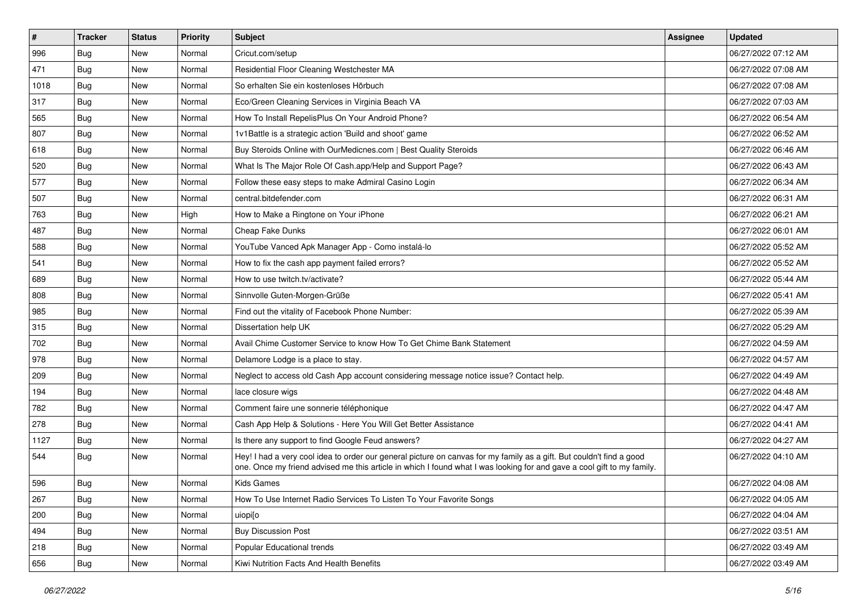| $\vert$ # | <b>Tracker</b> | <b>Status</b> | Priority | Subject                                                                                                                                                                                                                                        | <b>Assignee</b> | <b>Updated</b>      |
|-----------|----------------|---------------|----------|------------------------------------------------------------------------------------------------------------------------------------------------------------------------------------------------------------------------------------------------|-----------------|---------------------|
| 996       | <b>Bug</b>     | New           | Normal   | Cricut.com/setup                                                                                                                                                                                                                               |                 | 06/27/2022 07:12 AM |
| 471       | Bug            | New           | Normal   | Residential Floor Cleaning Westchester MA                                                                                                                                                                                                      |                 | 06/27/2022 07:08 AM |
| 1018      | Bug            | New           | Normal   | So erhalten Sie ein kostenloses Hörbuch                                                                                                                                                                                                        |                 | 06/27/2022 07:08 AM |
| 317       | Bug            | New           | Normal   | Eco/Green Cleaning Services in Virginia Beach VA                                                                                                                                                                                               |                 | 06/27/2022 07:03 AM |
| 565       | Bug            | New           | Normal   | How To Install RepelisPlus On Your Android Phone?                                                                                                                                                                                              |                 | 06/27/2022 06:54 AM |
| 807       | Bug            | New           | Normal   | 1v1Battle is a strategic action 'Build and shoot' game                                                                                                                                                                                         |                 | 06/27/2022 06:52 AM |
| 618       | Bug            | New           | Normal   | Buy Steroids Online with OurMedicnes.com   Best Quality Steroids                                                                                                                                                                               |                 | 06/27/2022 06:46 AM |
| 520       | Bug            | New           | Normal   | What Is The Major Role Of Cash.app/Help and Support Page?                                                                                                                                                                                      |                 | 06/27/2022 06:43 AM |
| 577       | Bug            | New           | Normal   | Follow these easy steps to make Admiral Casino Login                                                                                                                                                                                           |                 | 06/27/2022 06:34 AM |
| 507       | Bug            | <b>New</b>    | Normal   | central.bitdefender.com                                                                                                                                                                                                                        |                 | 06/27/2022 06:31 AM |
| 763       | <b>Bug</b>     | New           | High     | How to Make a Ringtone on Your iPhone                                                                                                                                                                                                          |                 | 06/27/2022 06:21 AM |
| 487       | Bug            | New           | Normal   | Cheap Fake Dunks                                                                                                                                                                                                                               |                 | 06/27/2022 06:01 AM |
| 588       | Bug            | New           | Normal   | YouTube Vanced Apk Manager App - Como instalá-lo                                                                                                                                                                                               |                 | 06/27/2022 05:52 AM |
| 541       | Bug            | New           | Normal   | How to fix the cash app payment failed errors?                                                                                                                                                                                                 |                 | 06/27/2022 05:52 AM |
| 689       | Bug            | New           | Normal   | How to use twitch.tv/activate?                                                                                                                                                                                                                 |                 | 06/27/2022 05:44 AM |
| 808       | Bug            | New           | Normal   | Sinnvolle Guten-Morgen-Grüße                                                                                                                                                                                                                   |                 | 06/27/2022 05:41 AM |
| 985       | Bug            | New           | Normal   | Find out the vitality of Facebook Phone Number:                                                                                                                                                                                                |                 | 06/27/2022 05:39 AM |
| 315       | Bug            | New           | Normal   | Dissertation help UK                                                                                                                                                                                                                           |                 | 06/27/2022 05:29 AM |
| 702       | Bug            | New           | Normal   | Avail Chime Customer Service to know How To Get Chime Bank Statement                                                                                                                                                                           |                 | 06/27/2022 04:59 AM |
| 978       | Bug            | New           | Normal   | Delamore Lodge is a place to stay.                                                                                                                                                                                                             |                 | 06/27/2022 04:57 AM |
| 209       | Bug            | New           | Normal   | Neglect to access old Cash App account considering message notice issue? Contact help.                                                                                                                                                         |                 | 06/27/2022 04:49 AM |
| 194       | Bug            | New           | Normal   | lace closure wigs                                                                                                                                                                                                                              |                 | 06/27/2022 04:48 AM |
| 782       | Bug            | New           | Normal   | Comment faire une sonnerie téléphonique                                                                                                                                                                                                        |                 | 06/27/2022 04:47 AM |
| 278       | <b>Bug</b>     | New           | Normal   | Cash App Help & Solutions - Here You Will Get Better Assistance                                                                                                                                                                                |                 | 06/27/2022 04:41 AM |
| 1127      | Bug            | New           | Normal   | Is there any support to find Google Feud answers?                                                                                                                                                                                              |                 | 06/27/2022 04:27 AM |
| 544       | Bug            | New           | Normal   | Hey! I had a very cool idea to order our general picture on canvas for my family as a gift. But couldn't find a good<br>one. Once my friend advised me this article in which I found what I was looking for and gave a cool gift to my family. |                 | 06/27/2022 04:10 AM |
| 596       | <b>Bug</b>     | New           | Normal   | Kids Games                                                                                                                                                                                                                                     |                 | 06/27/2022 04:08 AM |
| 267       | Bug            | New           | Normal   | How To Use Internet Radio Services To Listen To Your Favorite Songs                                                                                                                                                                            |                 | 06/27/2022 04:05 AM |
| 200       | <b>Bug</b>     | New           | Normal   | uiopi[o                                                                                                                                                                                                                                        |                 | 06/27/2022 04:04 AM |
| 494       | Bug            | New           | Normal   | <b>Buy Discussion Post</b>                                                                                                                                                                                                                     |                 | 06/27/2022 03:51 AM |
| 218       | <b>Bug</b>     | New           | Normal   | Popular Educational trends                                                                                                                                                                                                                     |                 | 06/27/2022 03:49 AM |
| 656       | <b>Bug</b>     | New           | Normal   | Kiwi Nutrition Facts And Health Benefits                                                                                                                                                                                                       |                 | 06/27/2022 03:49 AM |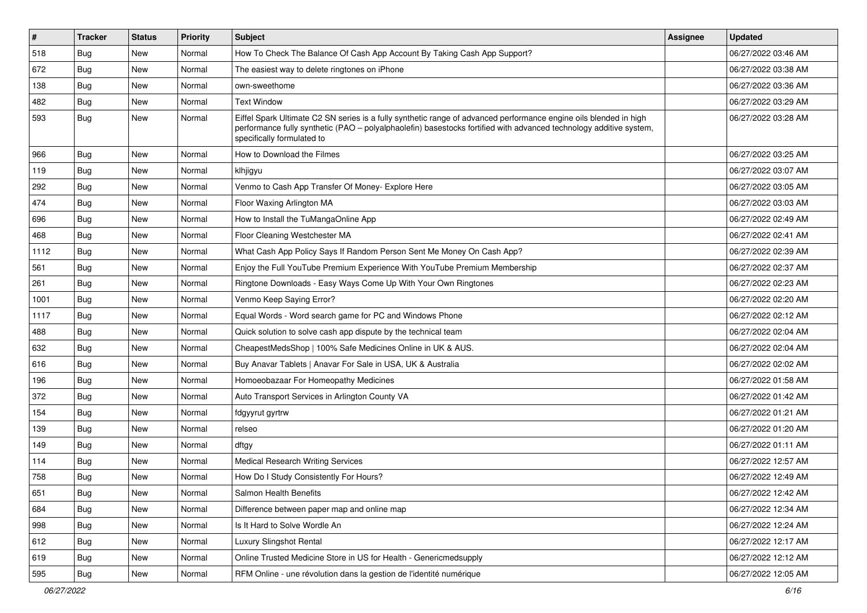| $\vert$ # | <b>Tracker</b> | <b>Status</b> | Priority | <b>Subject</b>                                                                                                                                                                                                                                                        | Assignee | <b>Updated</b>      |
|-----------|----------------|---------------|----------|-----------------------------------------------------------------------------------------------------------------------------------------------------------------------------------------------------------------------------------------------------------------------|----------|---------------------|
| 518       | <b>Bug</b>     | New           | Normal   | How To Check The Balance Of Cash App Account By Taking Cash App Support?                                                                                                                                                                                              |          | 06/27/2022 03:46 AM |
| 672       | Bug            | New           | Normal   | The easiest way to delete ringtones on iPhone                                                                                                                                                                                                                         |          | 06/27/2022 03:38 AM |
| 138       | <b>Bug</b>     | New           | Normal   | own-sweethome                                                                                                                                                                                                                                                         |          | 06/27/2022 03:36 AM |
| 482       | <b>Bug</b>     | New           | Normal   | <b>Text Window</b>                                                                                                                                                                                                                                                    |          | 06/27/2022 03:29 AM |
| 593       | Bug            | New           | Normal   | Eiffel Spark Ultimate C2 SN series is a fully synthetic range of advanced performance engine oils blended in high<br>performance fully synthetic (PAO - polyalphaolefin) basestocks fortified with advanced technology additive system,<br>specifically formulated to |          | 06/27/2022 03:28 AM |
| 966       | Bug            | New           | Normal   | How to Download the Filmes                                                                                                                                                                                                                                            |          | 06/27/2022 03:25 AM |
| 119       | <b>Bug</b>     | New           | Normal   | klhjigyu                                                                                                                                                                                                                                                              |          | 06/27/2022 03:07 AM |
| 292       | <b>Bug</b>     | New           | Normal   | Venmo to Cash App Transfer Of Money- Explore Here                                                                                                                                                                                                                     |          | 06/27/2022 03:05 AM |
| 474       | <b>Bug</b>     | New           | Normal   | Floor Waxing Arlington MA                                                                                                                                                                                                                                             |          | 06/27/2022 03:03 AM |
| 696       | Bug            | New           | Normal   | How to Install the TuMangaOnline App                                                                                                                                                                                                                                  |          | 06/27/2022 02:49 AM |
| 468       | Bug            | New           | Normal   | Floor Cleaning Westchester MA                                                                                                                                                                                                                                         |          | 06/27/2022 02:41 AM |
| 1112      | <b>Bug</b>     | New           | Normal   | What Cash App Policy Says If Random Person Sent Me Money On Cash App?                                                                                                                                                                                                 |          | 06/27/2022 02:39 AM |
| 561       | Bug            | New           | Normal   | Enjoy the Full YouTube Premium Experience With YouTube Premium Membership                                                                                                                                                                                             |          | 06/27/2022 02:37 AM |
| 261       | Bug            | New           | Normal   | Ringtone Downloads - Easy Ways Come Up With Your Own Ringtones                                                                                                                                                                                                        |          | 06/27/2022 02:23 AM |
| 1001      | <b>Bug</b>     | New           | Normal   | Venmo Keep Saying Error?                                                                                                                                                                                                                                              |          | 06/27/2022 02:20 AM |
| 1117      | <b>Bug</b>     | New           | Normal   | Equal Words - Word search game for PC and Windows Phone                                                                                                                                                                                                               |          | 06/27/2022 02:12 AM |
| 488       | Bug            | New           | Normal   | Quick solution to solve cash app dispute by the technical team                                                                                                                                                                                                        |          | 06/27/2022 02:04 AM |
| 632       | <b>Bug</b>     | New           | Normal   | CheapestMedsShop   100% Safe Medicines Online in UK & AUS.                                                                                                                                                                                                            |          | 06/27/2022 02:04 AM |
| 616       | Bug            | New           | Normal   | Buy Anavar Tablets   Anavar For Sale in USA, UK & Australia                                                                                                                                                                                                           |          | 06/27/2022 02:02 AM |
| 196       | Bug            | New           | Normal   | Homoeobazaar For Homeopathy Medicines                                                                                                                                                                                                                                 |          | 06/27/2022 01:58 AM |
| 372       | <b>Bug</b>     | New           | Normal   | Auto Transport Services in Arlington County VA                                                                                                                                                                                                                        |          | 06/27/2022 01:42 AM |
| 154       | <b>Bug</b>     | New           | Normal   | fdgyyrut gyrtrw                                                                                                                                                                                                                                                       |          | 06/27/2022 01:21 AM |
| 139       | <b>Bug</b>     | New           | Normal   | relseo                                                                                                                                                                                                                                                                |          | 06/27/2022 01:20 AM |
| 149       | <b>Bug</b>     | New           | Normal   | dftgy                                                                                                                                                                                                                                                                 |          | 06/27/2022 01:11 AM |
| 114       | <b>Bug</b>     | New           | Normal   | <b>Medical Research Writing Services</b>                                                                                                                                                                                                                              |          | 06/27/2022 12:57 AM |
| 758       | Bug            | New           | Normal   | How Do I Study Consistently For Hours?                                                                                                                                                                                                                                |          | 06/27/2022 12:49 AM |
| 651       | Bug            | New           | Normal   | Salmon Health Benefits                                                                                                                                                                                                                                                |          | 06/27/2022 12:42 AM |
| 684       | Bug            | New           | Normal   | Difference between paper map and online map                                                                                                                                                                                                                           |          | 06/27/2022 12:34 AM |
| 998       | <b>Bug</b>     | New           | Normal   | Is It Hard to Solve Wordle An                                                                                                                                                                                                                                         |          | 06/27/2022 12:24 AM |
| 612       | <b>Bug</b>     | New           | Normal   | Luxury Slingshot Rental                                                                                                                                                                                                                                               |          | 06/27/2022 12:17 AM |
| 619       | <b>Bug</b>     | New           | Normal   | Online Trusted Medicine Store in US for Health - Genericmedsupply                                                                                                                                                                                                     |          | 06/27/2022 12:12 AM |
| 595       | Bug            | New           | Normal   | RFM Online - une révolution dans la gestion de l'identité numérique                                                                                                                                                                                                   |          | 06/27/2022 12:05 AM |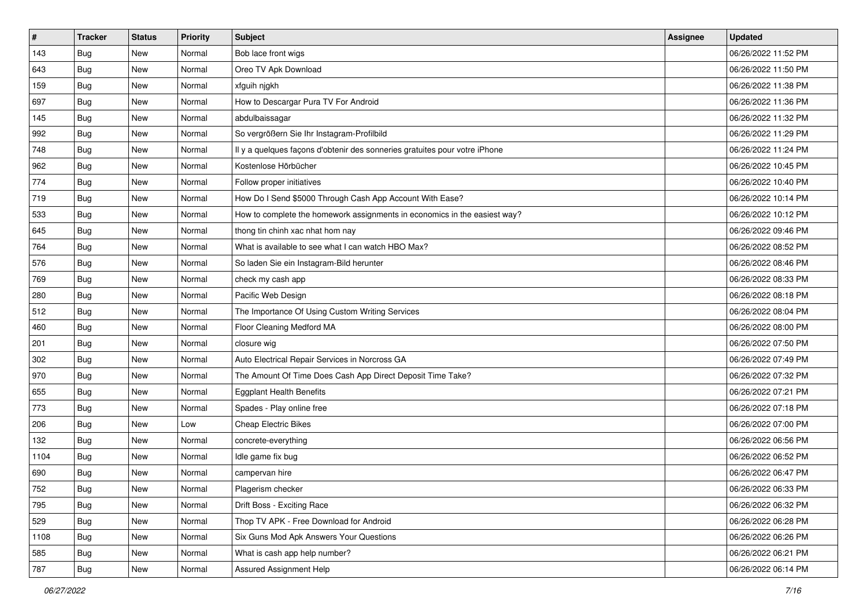| $\sharp$ | <b>Tracker</b> | <b>Status</b> | Priority | <b>Subject</b>                                                             | <b>Assignee</b> | <b>Updated</b>      |
|----------|----------------|---------------|----------|----------------------------------------------------------------------------|-----------------|---------------------|
| 143      | <b>Bug</b>     | New           | Normal   | Bob lace front wigs                                                        |                 | 06/26/2022 11:52 PM |
| 643      | <b>Bug</b>     | New           | Normal   | Oreo TV Apk Download                                                       |                 | 06/26/2022 11:50 PM |
| 159      | Bug            | New           | Normal   | xfguih njgkh                                                               |                 | 06/26/2022 11:38 PM |
| 697      | Bug            | New           | Normal   | How to Descargar Pura TV For Android                                       |                 | 06/26/2022 11:36 PM |
| 145      | Bug            | New           | Normal   | abdulbaissagar                                                             |                 | 06/26/2022 11:32 PM |
| 992      | <b>Bug</b>     | New           | Normal   | So vergrößern Sie Ihr Instagram-Profilbild                                 |                 | 06/26/2022 11:29 PM |
| 748      | Bug            | New           | Normal   | Il y a quelques façons d'obtenir des sonneries gratuites pour votre iPhone |                 | 06/26/2022 11:24 PM |
| 962      | <b>Bug</b>     | New           | Normal   | Kostenlose Hörbücher                                                       |                 | 06/26/2022 10:45 PM |
| 774      | Bug            | New           | Normal   | Follow proper initiatives                                                  |                 | 06/26/2022 10:40 PM |
| 719      | Bug            | New           | Normal   | How Do I Send \$5000 Through Cash App Account With Ease?                   |                 | 06/26/2022 10:14 PM |
| 533      | <b>Bug</b>     | New           | Normal   | How to complete the homework assignments in economics in the easiest way?  |                 | 06/26/2022 10:12 PM |
| 645      | Bug            | New           | Normal   | thong tin chinh xac nhat hom nay                                           |                 | 06/26/2022 09:46 PM |
| 764      | Bug            | New           | Normal   | What is available to see what I can watch HBO Max?                         |                 | 06/26/2022 08:52 PM |
| 576      | Bug            | New           | Normal   | So laden Sie ein Instagram-Bild herunter                                   |                 | 06/26/2022 08:46 PM |
| 769      | <b>Bug</b>     | New           | Normal   | check my cash app                                                          |                 | 06/26/2022 08:33 PM |
| 280      | Bug            | New           | Normal   | Pacific Web Design                                                         |                 | 06/26/2022 08:18 PM |
| 512      | Bug            | New           | Normal   | The Importance Of Using Custom Writing Services                            |                 | 06/26/2022 08:04 PM |
| 460      | Bug            | New           | Normal   | Floor Cleaning Medford MA                                                  |                 | 06/26/2022 08:00 PM |
| 201      | Bug            | New           | Normal   | closure wig                                                                |                 | 06/26/2022 07:50 PM |
| 302      | Bug            | New           | Normal   | Auto Electrical Repair Services in Norcross GA                             |                 | 06/26/2022 07:49 PM |
| 970      | Bug            | New           | Normal   | The Amount Of Time Does Cash App Direct Deposit Time Take?                 |                 | 06/26/2022 07:32 PM |
| 655      | Bug            | New           | Normal   | <b>Eggplant Health Benefits</b>                                            |                 | 06/26/2022 07:21 PM |
| 773      | Bug            | New           | Normal   | Spades - Play online free                                                  |                 | 06/26/2022 07:18 PM |
| 206      | <b>Bug</b>     | New           | Low      | <b>Cheap Electric Bikes</b>                                                |                 | 06/26/2022 07:00 PM |
| 132      | Bug            | New           | Normal   | concrete-everything                                                        |                 | 06/26/2022 06:56 PM |
| 1104     | Bug            | New           | Normal   | Idle game fix bug                                                          |                 | 06/26/2022 06:52 PM |
| 690      | <b>Bug</b>     | New           | Normal   | campervan hire                                                             |                 | 06/26/2022 06:47 PM |
| 752      | <b>Bug</b>     | New           | Normal   | Plagerism checker                                                          |                 | 06/26/2022 06:33 PM |
| 795      | <b>Bug</b>     | New           | Normal   | Drift Boss - Exciting Race                                                 |                 | 06/26/2022 06:32 PM |
| 529      | <b>Bug</b>     | New           | Normal   | Thop TV APK - Free Download for Android                                    |                 | 06/26/2022 06:28 PM |
| 1108     | Bug            | New           | Normal   | Six Guns Mod Apk Answers Your Questions                                    |                 | 06/26/2022 06:26 PM |
| 585      | Bug            | New           | Normal   | What is cash app help number?                                              |                 | 06/26/2022 06:21 PM |
| 787      | <b>Bug</b>     | New           | Normal   | Assured Assignment Help                                                    |                 | 06/26/2022 06:14 PM |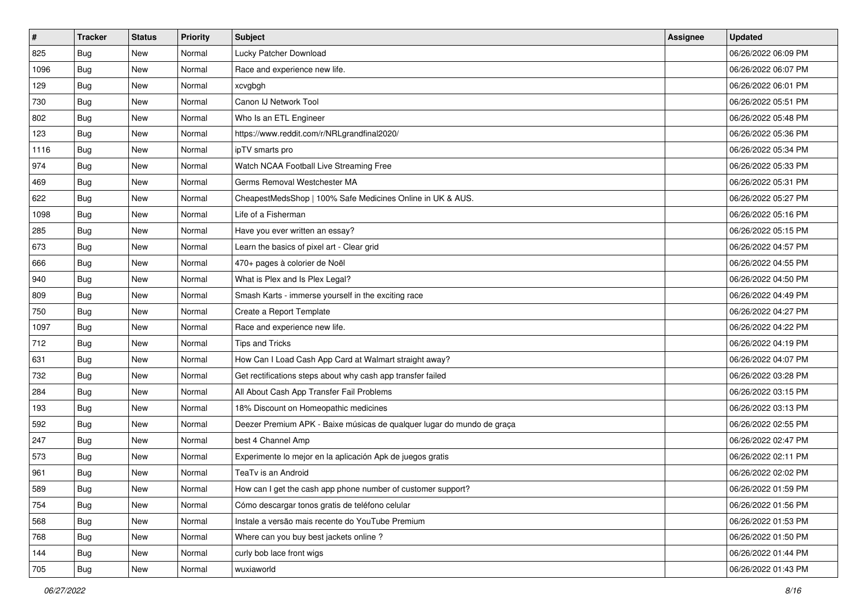| $\sharp$ | <b>Tracker</b> | <b>Status</b> | Priority | Subject                                                                | <b>Assignee</b> | <b>Updated</b>      |
|----------|----------------|---------------|----------|------------------------------------------------------------------------|-----------------|---------------------|
| 825      | <b>Bug</b>     | New           | Normal   | Lucky Patcher Download                                                 |                 | 06/26/2022 06:09 PM |
| 1096     | Bug            | New           | Normal   | Race and experience new life.                                          |                 | 06/26/2022 06:07 PM |
| 129      | Bug            | New           | Normal   | xcvgbgh                                                                |                 | 06/26/2022 06:01 PM |
| 730      | Bug            | New           | Normal   | Canon IJ Network Tool                                                  |                 | 06/26/2022 05:51 PM |
| 802      | Bug            | New           | Normal   | Who Is an ETL Engineer                                                 |                 | 06/26/2022 05:48 PM |
| 123      | <b>Bug</b>     | New           | Normal   | https://www.reddit.com/r/NRLgrandfinal2020/                            |                 | 06/26/2022 05:36 PM |
| 1116     | Bug            | New           | Normal   | ipTV smarts pro                                                        |                 | 06/26/2022 05:34 PM |
| 974      | <b>Bug</b>     | New           | Normal   | Watch NCAA Football Live Streaming Free                                |                 | 06/26/2022 05:33 PM |
| 469      | Bug            | New           | Normal   | Germs Removal Westchester MA                                           |                 | 06/26/2022 05:31 PM |
| 622      | Bug            | New           | Normal   | CheapestMedsShop   100% Safe Medicines Online in UK & AUS.             |                 | 06/26/2022 05:27 PM |
| 1098     | <b>Bug</b>     | New           | Normal   | Life of a Fisherman                                                    |                 | 06/26/2022 05:16 PM |
| 285      | Bug            | New           | Normal   | Have you ever written an essay?                                        |                 | 06/26/2022 05:15 PM |
| 673      | Bug            | New           | Normal   | Learn the basics of pixel art - Clear grid                             |                 | 06/26/2022 04:57 PM |
| 666      | Bug            | New           | Normal   | 470+ pages à colorier de Noël                                          |                 | 06/26/2022 04:55 PM |
| 940      | Bug            | New           | Normal   | What is Plex and Is Plex Legal?                                        |                 | 06/26/2022 04:50 PM |
| 809      | Bug            | New           | Normal   | Smash Karts - immerse yourself in the exciting race                    |                 | 06/26/2022 04:49 PM |
| 750      | Bug            | New           | Normal   | Create a Report Template                                               |                 | 06/26/2022 04:27 PM |
| 1097     | Bug            | New           | Normal   | Race and experience new life.                                          |                 | 06/26/2022 04:22 PM |
| 712      | Bug            | New           | Normal   | <b>Tips and Tricks</b>                                                 |                 | 06/26/2022 04:19 PM |
| 631      | Bug            | New           | Normal   | How Can I Load Cash App Card at Walmart straight away?                 |                 | 06/26/2022 04:07 PM |
| 732      | Bug            | New           | Normal   | Get rectifications steps about why cash app transfer failed            |                 | 06/26/2022 03:28 PM |
| 284      | Bug            | New           | Normal   | All About Cash App Transfer Fail Problems                              |                 | 06/26/2022 03:15 PM |
| 193      | Bug            | New           | Normal   | 18% Discount on Homeopathic medicines                                  |                 | 06/26/2022 03:13 PM |
| 592      | <b>Bug</b>     | New           | Normal   | Deezer Premium APK - Baixe músicas de qualquer lugar do mundo de graça |                 | 06/26/2022 02:55 PM |
| 247      | Bug            | New           | Normal   | best 4 Channel Amp                                                     |                 | 06/26/2022 02:47 PM |
| 573      | Bug            | New           | Normal   | Experimente lo mejor en la aplicación Apk de juegos gratis             |                 | 06/26/2022 02:11 PM |
| 961      | <b>Bug</b>     | New           | Normal   | TeaTv is an Android                                                    |                 | 06/26/2022 02:02 PM |
| 589      | i Bug          | New           | Normal   | How can I get the cash app phone number of customer support?           |                 | 06/26/2022 01:59 PM |
| 754      | <b>Bug</b>     | New           | Normal   | Cómo descargar tonos gratis de teléfono celular                        |                 | 06/26/2022 01:56 PM |
| 568      | <b>Bug</b>     | New           | Normal   | Instale a versão mais recente do YouTube Premium                       |                 | 06/26/2022 01:53 PM |
| 768      | <b>Bug</b>     | New           | Normal   | Where can you buy best jackets online?                                 |                 | 06/26/2022 01:50 PM |
| 144      | Bug            | New           | Normal   | curly bob lace front wigs                                              |                 | 06/26/2022 01:44 PM |
| 705      | <b>Bug</b>     | New           | Normal   | wuxiaworld                                                             |                 | 06/26/2022 01:43 PM |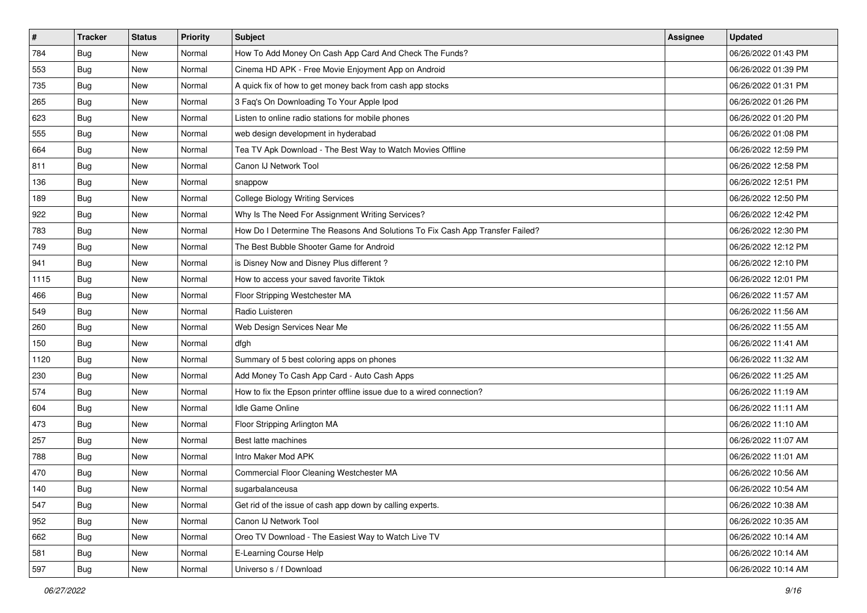| $\sharp$ | <b>Tracker</b> | <b>Status</b> | Priority | <b>Subject</b>                                                                | <b>Assignee</b> | <b>Updated</b>      |
|----------|----------------|---------------|----------|-------------------------------------------------------------------------------|-----------------|---------------------|
| 784      | <b>Bug</b>     | New           | Normal   | How To Add Money On Cash App Card And Check The Funds?                        |                 | 06/26/2022 01:43 PM |
| 553      | Bug            | New           | Normal   | Cinema HD APK - Free Movie Enjoyment App on Android                           |                 | 06/26/2022 01:39 PM |
| 735      | Bug            | New           | Normal   | A quick fix of how to get money back from cash app stocks                     |                 | 06/26/2022 01:31 PM |
| 265      | Bug            | New           | Normal   | 3 Faq's On Downloading To Your Apple Ipod                                     |                 | 06/26/2022 01:26 PM |
| 623      | Bug            | New           | Normal   | Listen to online radio stations for mobile phones                             |                 | 06/26/2022 01:20 PM |
| 555      | <b>Bug</b>     | New           | Normal   | web design development in hyderabad                                           |                 | 06/26/2022 01:08 PM |
| 664      | Bug            | New           | Normal   | Tea TV Apk Download - The Best Way to Watch Movies Offline                    |                 | 06/26/2022 12:59 PM |
| 811      | <b>Bug</b>     | New           | Normal   | Canon IJ Network Tool                                                         |                 | 06/26/2022 12:58 PM |
| 136      | Bug            | New           | Normal   | snappow                                                                       |                 | 06/26/2022 12:51 PM |
| 189      | Bug            | New           | Normal   | <b>College Biology Writing Services</b>                                       |                 | 06/26/2022 12:50 PM |
| 922      | <b>Bug</b>     | New           | Normal   | Why Is The Need For Assignment Writing Services?                              |                 | 06/26/2022 12:42 PM |
| 783      | Bug            | New           | Normal   | How Do I Determine The Reasons And Solutions To Fix Cash App Transfer Failed? |                 | 06/26/2022 12:30 PM |
| 749      | Bug            | New           | Normal   | The Best Bubble Shooter Game for Android                                      |                 | 06/26/2022 12:12 PM |
| 941      | Bug            | New           | Normal   | is Disney Now and Disney Plus different?                                      |                 | 06/26/2022 12:10 PM |
| 1115     | <b>Bug</b>     | New           | Normal   | How to access your saved favorite Tiktok                                      |                 | 06/26/2022 12:01 PM |
| 466      | Bug            | New           | Normal   | Floor Stripping Westchester MA                                                |                 | 06/26/2022 11:57 AM |
| 549      | Bug            | New           | Normal   | Radio Luisteren                                                               |                 | 06/26/2022 11:56 AM |
| 260      | Bug            | New           | Normal   | Web Design Services Near Me                                                   |                 | 06/26/2022 11:55 AM |
| 150      | Bug            | New           | Normal   | dfgh                                                                          |                 | 06/26/2022 11:41 AM |
| 1120     | Bug            | New           | Normal   | Summary of 5 best coloring apps on phones                                     |                 | 06/26/2022 11:32 AM |
| 230      | Bug            | New           | Normal   | Add Money To Cash App Card - Auto Cash Apps                                   |                 | 06/26/2022 11:25 AM |
| 574      | Bug            | New           | Normal   | How to fix the Epson printer offline issue due to a wired connection?         |                 | 06/26/2022 11:19 AM |
| 604      | Bug            | New           | Normal   | Idle Game Online                                                              |                 | 06/26/2022 11:11 AM |
| 473      | <b>Bug</b>     | New           | Normal   | Floor Stripping Arlington MA                                                  |                 | 06/26/2022 11:10 AM |
| 257      | Bug            | New           | Normal   | Best latte machines                                                           |                 | 06/26/2022 11:07 AM |
| 788      | Bug            | New           | Normal   | Intro Maker Mod APK                                                           |                 | 06/26/2022 11:01 AM |
| 470      | <b>Bug</b>     | New           | Normal   | Commercial Floor Cleaning Westchester MA                                      |                 | 06/26/2022 10:56 AM |
| 140      | I Bug          | New           | Normal   | sugarbalanceusa                                                               |                 | 06/26/2022 10:54 AM |
| 547      | <b>Bug</b>     | New           | Normal   | Get rid of the issue of cash app down by calling experts.                     |                 | 06/26/2022 10:38 AM |
| 952      | Bug            | New           | Normal   | Canon IJ Network Tool                                                         |                 | 06/26/2022 10:35 AM |
| 662      | <b>Bug</b>     | New           | Normal   | Oreo TV Download - The Easiest Way to Watch Live TV                           |                 | 06/26/2022 10:14 AM |
| 581      | Bug            | New           | Normal   | E-Learning Course Help                                                        |                 | 06/26/2022 10:14 AM |
| 597      | <b>Bug</b>     | New           | Normal   | Universo s / f Download                                                       |                 | 06/26/2022 10:14 AM |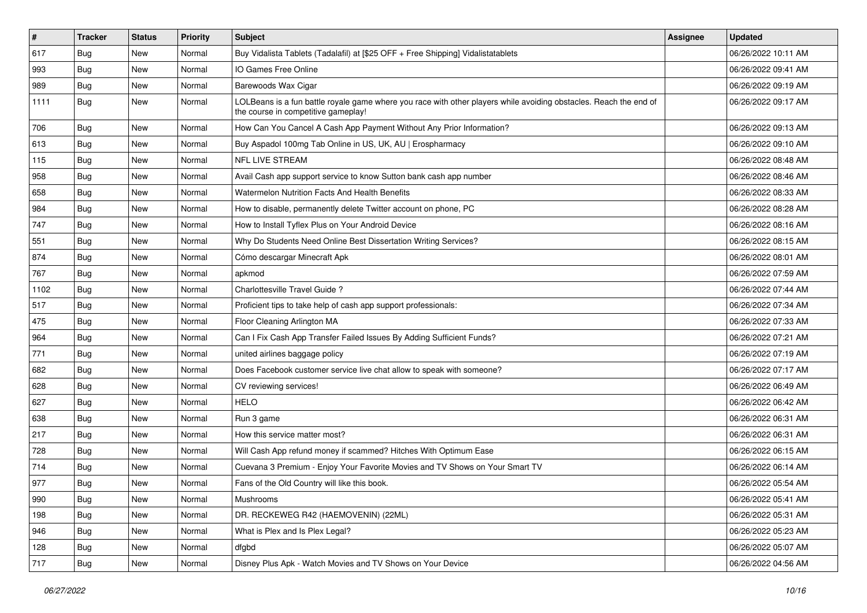| $\vert$ # | <b>Tracker</b> | <b>Status</b> | <b>Priority</b> | Subject                                                                                                                                                  | Assignee | <b>Updated</b>      |
|-----------|----------------|---------------|-----------------|----------------------------------------------------------------------------------------------------------------------------------------------------------|----------|---------------------|
| 617       | <b>Bug</b>     | New           | Normal          | Buy Vidalista Tablets (Tadalafil) at [\$25 OFF + Free Shipping] Vidalistatablets                                                                         |          | 06/26/2022 10:11 AM |
| 993       | <b>Bug</b>     | New           | Normal          | IO Games Free Online                                                                                                                                     |          | 06/26/2022 09:41 AM |
| 989       | Bug            | New           | Normal          | Barewoods Wax Cigar                                                                                                                                      |          | 06/26/2022 09:19 AM |
| 1111      | <b>Bug</b>     | New           | Normal          | LOLBeans is a fun battle royale game where you race with other players while avoiding obstacles. Reach the end of<br>the course in competitive gameplay! |          | 06/26/2022 09:17 AM |
| 706       | <b>Bug</b>     | New           | Normal          | How Can You Cancel A Cash App Payment Without Any Prior Information?                                                                                     |          | 06/26/2022 09:13 AM |
| 613       | Bug            | New           | Normal          | Buy Aspadol 100mg Tab Online in US, UK, AU   Erospharmacy                                                                                                |          | 06/26/2022 09:10 AM |
| 115       | Bug            | New           | Normal          | <b>NFL LIVE STREAM</b>                                                                                                                                   |          | 06/26/2022 08:48 AM |
| 958       | Bug            | New           | Normal          | Avail Cash app support service to know Sutton bank cash app number                                                                                       |          | 06/26/2022 08:46 AM |
| 658       | <b>Bug</b>     | New           | Normal          | Watermelon Nutrition Facts And Health Benefits                                                                                                           |          | 06/26/2022 08:33 AM |
| 984       | Bug            | New           | Normal          | How to disable, permanently delete Twitter account on phone, PC                                                                                          |          | 06/26/2022 08:28 AM |
| 747       | <b>Bug</b>     | New           | Normal          | How to Install Tyflex Plus on Your Android Device                                                                                                        |          | 06/26/2022 08:16 AM |
| 551       | Bug            | New           | Normal          | Why Do Students Need Online Best Dissertation Writing Services?                                                                                          |          | 06/26/2022 08:15 AM |
| 874       | Bug            | New           | Normal          | Cómo descargar Minecraft Apk                                                                                                                             |          | 06/26/2022 08:01 AM |
| 767       | Bug            | New           | Normal          | apkmod                                                                                                                                                   |          | 06/26/2022 07:59 AM |
| 1102      | <b>Bug</b>     | New           | Normal          | Charlottesville Travel Guide ?                                                                                                                           |          | 06/26/2022 07:44 AM |
| 517       | <b>Bug</b>     | New           | Normal          | Proficient tips to take help of cash app support professionals:                                                                                          |          | 06/26/2022 07:34 AM |
| 475       | Bug            | New           | Normal          | Floor Cleaning Arlington MA                                                                                                                              |          | 06/26/2022 07:33 AM |
| 964       | <b>Bug</b>     | New           | Normal          | Can I Fix Cash App Transfer Failed Issues By Adding Sufficient Funds?                                                                                    |          | 06/26/2022 07:21 AM |
| 771       | Bug            | New           | Normal          | united airlines baggage policy                                                                                                                           |          | 06/26/2022 07:19 AM |
| 682       | Bug            | New           | Normal          | Does Facebook customer service live chat allow to speak with someone?                                                                                    |          | 06/26/2022 07:17 AM |
| 628       | <b>Bug</b>     | New           | Normal          | CV reviewing services!                                                                                                                                   |          | 06/26/2022 06:49 AM |
| 627       | Bug            | New           | Normal          | <b>HELO</b>                                                                                                                                              |          | 06/26/2022 06:42 AM |
| 638       | Bug            | New           | Normal          | Run 3 game                                                                                                                                               |          | 06/26/2022 06:31 AM |
| 217       | Bug            | New           | Normal          | How this service matter most?                                                                                                                            |          | 06/26/2022 06:31 AM |
| 728       | <b>Bug</b>     | New           | Normal          | Will Cash App refund money if scammed? Hitches With Optimum Ease                                                                                         |          | 06/26/2022 06:15 AM |
| 714       | Bug            | New           | Normal          | Cuevana 3 Premium - Enjoy Your Favorite Movies and TV Shows on Your Smart TV                                                                             |          | 06/26/2022 06:14 AM |
| 977       | Bug            | New           | Normal          | Fans of the Old Country will like this book.                                                                                                             |          | 06/26/2022 05:54 AM |
| 990       | Bug            | New           | Normal          | Mushrooms                                                                                                                                                |          | 06/26/2022 05:41 AM |
| 198       | <b>Bug</b>     | New           | Normal          | DR. RECKEWEG R42 (HAEMOVENIN) (22ML)                                                                                                                     |          | 06/26/2022 05:31 AM |
| 946       | Bug            | New           | Normal          | What is Plex and Is Plex Legal?                                                                                                                          |          | 06/26/2022 05:23 AM |
| 128       | <b>Bug</b>     | New           | Normal          | dfgbd                                                                                                                                                    |          | 06/26/2022 05:07 AM |
| 717       | <b>Bug</b>     | New           | Normal          | Disney Plus Apk - Watch Movies and TV Shows on Your Device                                                                                               |          | 06/26/2022 04:56 AM |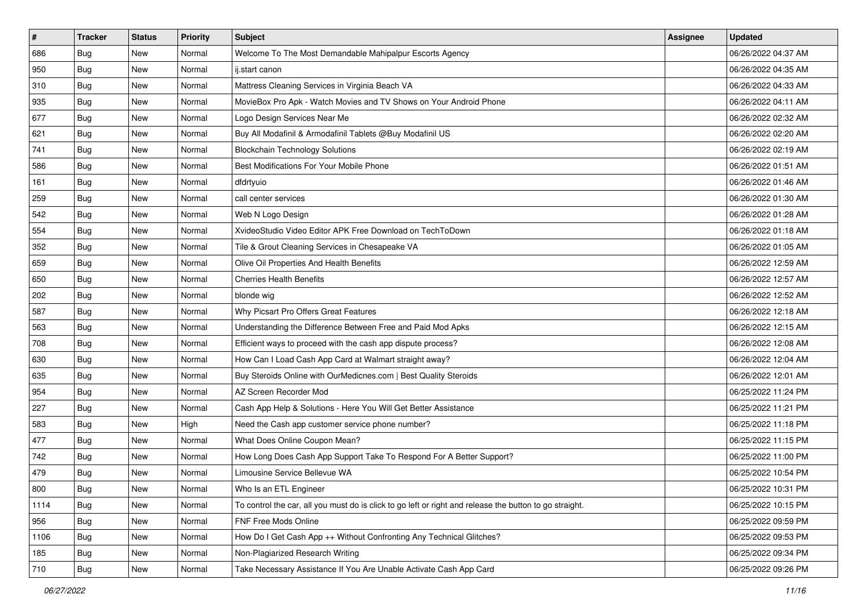| $\sharp$ | <b>Tracker</b> | <b>Status</b> | Priority | <b>Subject</b>                                                                                          | <b>Assignee</b> | <b>Updated</b>      |
|----------|----------------|---------------|----------|---------------------------------------------------------------------------------------------------------|-----------------|---------------------|
| 686      | <b>Bug</b>     | New           | Normal   | Welcome To The Most Demandable Mahipalpur Escorts Agency                                                |                 | 06/26/2022 04:37 AM |
| 950      | Bug            | New           | Normal   | ij.start canon                                                                                          |                 | 06/26/2022 04:35 AM |
| 310      | Bug            | New           | Normal   | Mattress Cleaning Services in Virginia Beach VA                                                         |                 | 06/26/2022 04:33 AM |
| 935      | Bug            | New           | Normal   | MovieBox Pro Apk - Watch Movies and TV Shows on Your Android Phone                                      |                 | 06/26/2022 04:11 AM |
| 677      | Bug            | New           | Normal   | Logo Design Services Near Me                                                                            |                 | 06/26/2022 02:32 AM |
| 621      | <b>Bug</b>     | New           | Normal   | Buy All Modafinil & Armodafinil Tablets @Buy Modafinil US                                               |                 | 06/26/2022 02:20 AM |
| 741      | Bug            | New           | Normal   | <b>Blockchain Technology Solutions</b>                                                                  |                 | 06/26/2022 02:19 AM |
| 586      | Bug            | New           | Normal   | Best Modifications For Your Mobile Phone                                                                |                 | 06/26/2022 01:51 AM |
| 161      | Bug            | New           | Normal   | dfdrtyuio                                                                                               |                 | 06/26/2022 01:46 AM |
| 259      | Bug            | New           | Normal   | call center services                                                                                    |                 | 06/26/2022 01:30 AM |
| 542      | <b>Bug</b>     | New           | Normal   | Web N Logo Design                                                                                       |                 | 06/26/2022 01:28 AM |
| 554      | Bug            | New           | Normal   | XvideoStudio Video Editor APK Free Download on TechToDown                                               |                 | 06/26/2022 01:18 AM |
| 352      | Bug            | New           | Normal   | Tile & Grout Cleaning Services in Chesapeake VA                                                         |                 | 06/26/2022 01:05 AM |
| 659      | Bug            | New           | Normal   | Olive Oil Properties And Health Benefits                                                                |                 | 06/26/2022 12:59 AM |
| 650      | Bug            | New           | Normal   | <b>Cherries Health Benefits</b>                                                                         |                 | 06/26/2022 12:57 AM |
| 202      | Bug            | New           | Normal   | blonde wig                                                                                              |                 | 06/26/2022 12:52 AM |
| 587      | Bug            | New           | Normal   | Why Picsart Pro Offers Great Features                                                                   |                 | 06/26/2022 12:18 AM |
| 563      | Bug            | New           | Normal   | Understanding the Difference Between Free and Paid Mod Apks                                             |                 | 06/26/2022 12:15 AM |
| 708      | Bug            | New           | Normal   | Efficient ways to proceed with the cash app dispute process?                                            |                 | 06/26/2022 12:08 AM |
| 630      | Bug            | New           | Normal   | How Can I Load Cash App Card at Walmart straight away?                                                  |                 | 06/26/2022 12:04 AM |
| 635      | Bug            | New           | Normal   | Buy Steroids Online with OurMedicnes.com   Best Quality Steroids                                        |                 | 06/26/2022 12:01 AM |
| 954      | Bug            | New           | Normal   | AZ Screen Recorder Mod                                                                                  |                 | 06/25/2022 11:24 PM |
| 227      | Bug            | New           | Normal   | Cash App Help & Solutions - Here You Will Get Better Assistance                                         |                 | 06/25/2022 11:21 PM |
| 583      | <b>Bug</b>     | New           | High     | Need the Cash app customer service phone number?                                                        |                 | 06/25/2022 11:18 PM |
| 477      | Bug            | New           | Normal   | What Does Online Coupon Mean?                                                                           |                 | 06/25/2022 11:15 PM |
| 742      | Bug            | New           | Normal   | How Long Does Cash App Support Take To Respond For A Better Support?                                    |                 | 06/25/2022 11:00 PM |
| 479      | Bug            | New           | Normal   | Limousine Service Bellevue WA                                                                           |                 | 06/25/2022 10:54 PM |
| 800      | I Bug          | New           | Normal   | Who Is an ETL Engineer                                                                                  |                 | 06/25/2022 10:31 PM |
| 1114     | <b>Bug</b>     | New           | Normal   | To control the car, all you must do is click to go left or right and release the button to go straight. |                 | 06/25/2022 10:15 PM |
| 956      | Bug            | New           | Normal   | FNF Free Mods Online                                                                                    |                 | 06/25/2022 09:59 PM |
| 1106     | Bug            | New           | Normal   | How Do I Get Cash App ++ Without Confronting Any Technical Glitches?                                    |                 | 06/25/2022 09:53 PM |
| 185      | Bug            | New           | Normal   | Non-Plagiarized Research Writing                                                                        |                 | 06/25/2022 09:34 PM |
| 710      | <b>Bug</b>     | New           | Normal   | Take Necessary Assistance If You Are Unable Activate Cash App Card                                      |                 | 06/25/2022 09:26 PM |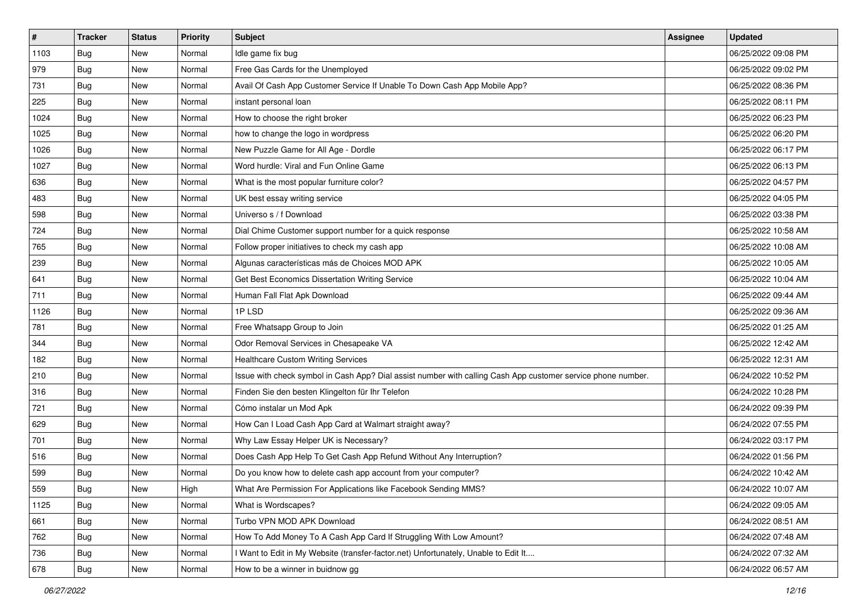| $\vert$ # | <b>Tracker</b> | <b>Status</b> | <b>Priority</b> | <b>Subject</b>                                                                                               | Assignee | <b>Updated</b>      |
|-----------|----------------|---------------|-----------------|--------------------------------------------------------------------------------------------------------------|----------|---------------------|
| 1103      | <b>Bug</b>     | New           | Normal          | Idle game fix bug                                                                                            |          | 06/25/2022 09:08 PM |
| 979       | <b>Bug</b>     | New           | Normal          | Free Gas Cards for the Unemployed                                                                            |          | 06/25/2022 09:02 PM |
| 731       | <b>Bug</b>     | New           | Normal          | Avail Of Cash App Customer Service If Unable To Down Cash App Mobile App?                                    |          | 06/25/2022 08:36 PM |
| 225       | Bug            | New           | Normal          | instant personal loan                                                                                        |          | 06/25/2022 08:11 PM |
| 1024      | Bug            | <b>New</b>    | Normal          | How to choose the right broker                                                                               |          | 06/25/2022 06:23 PM |
| 1025      | <b>Bug</b>     | New           | Normal          | how to change the logo in wordpress                                                                          |          | 06/25/2022 06:20 PM |
| 1026      | <b>Bug</b>     | New           | Normal          | New Puzzle Game for All Age - Dordle                                                                         |          | 06/25/2022 06:17 PM |
| 1027      | <b>Bug</b>     | New           | Normal          | Word hurdle: Viral and Fun Online Game                                                                       |          | 06/25/2022 06:13 PM |
| 636       | <b>Bug</b>     | New           | Normal          | What is the most popular furniture color?                                                                    |          | 06/25/2022 04:57 PM |
| 483       | Bug            | New           | Normal          | UK best essay writing service                                                                                |          | 06/25/2022 04:05 PM |
| 598       | <b>Bug</b>     | New           | Normal          | Universo s / f Download                                                                                      |          | 06/25/2022 03:38 PM |
| 724       | <b>Bug</b>     | New           | Normal          | Dial Chime Customer support number for a quick response                                                      |          | 06/25/2022 10:58 AM |
| 765       | Bug            | New           | Normal          | Follow proper initiatives to check my cash app                                                               |          | 06/25/2022 10:08 AM |
| 239       | <b>Bug</b>     | New           | Normal          | Algunas características más de Choices MOD APK                                                               |          | 06/25/2022 10:05 AM |
| 641       | <b>Bug</b>     | New           | Normal          | Get Best Economics Dissertation Writing Service                                                              |          | 06/25/2022 10:04 AM |
| 711       | <b>Bug</b>     | New           | Normal          | Human Fall Flat Apk Download                                                                                 |          | 06/25/2022 09:44 AM |
| 1126      | <b>Bug</b>     | New           | Normal          | 1PLSD                                                                                                        |          | 06/25/2022 09:36 AM |
| 781       | <b>Bug</b>     | New           | Normal          | Free Whatsapp Group to Join                                                                                  |          | 06/25/2022 01:25 AM |
| 344       | <b>Bug</b>     | New           | Normal          | Odor Removal Services in Chesapeake VA                                                                       |          | 06/25/2022 12:42 AM |
| 182       | <b>Bug</b>     | New           | Normal          | <b>Healthcare Custom Writing Services</b>                                                                    |          | 06/25/2022 12:31 AM |
| 210       | <b>Bug</b>     | New           | Normal          | Issue with check symbol in Cash App? Dial assist number with calling Cash App customer service phone number. |          | 06/24/2022 10:52 PM |
| 316       | <b>Bug</b>     | New           | Normal          | Finden Sie den besten Klingelton für Ihr Telefon                                                             |          | 06/24/2022 10:28 PM |
| 721       | Bug            | <b>New</b>    | Normal          | Cómo instalar un Mod Apk                                                                                     |          | 06/24/2022 09:39 PM |
| 629       | <b>Bug</b>     | New           | Normal          | How Can I Load Cash App Card at Walmart straight away?                                                       |          | 06/24/2022 07:55 PM |
| 701       | Bug            | New           | Normal          | Why Law Essay Helper UK is Necessary?                                                                        |          | 06/24/2022 03:17 PM |
| 516       | Bug            | New           | Normal          | Does Cash App Help To Get Cash App Refund Without Any Interruption?                                          |          | 06/24/2022 01:56 PM |
| 599       | <b>Bug</b>     | New           | Normal          | Do you know how to delete cash app account from your computer?                                               |          | 06/24/2022 10:42 AM |
| 559       | I Bug          | New           | High            | What Are Permission For Applications like Facebook Sending MMS?                                              |          | 06/24/2022 10:07 AM |
| 1125      | Bug            | New           | Normal          | What is Wordscapes?                                                                                          |          | 06/24/2022 09:05 AM |
| 661       | <b>Bug</b>     | New           | Normal          | Turbo VPN MOD APK Download                                                                                   |          | 06/24/2022 08:51 AM |
| 762       | <b>Bug</b>     | New           | Normal          | How To Add Money To A Cash App Card If Struggling With Low Amount?                                           |          | 06/24/2022 07:48 AM |
| 736       | <b>Bug</b>     | New           | Normal          | I Want to Edit in My Website (transfer-factor.net) Unfortunately, Unable to Edit It                          |          | 06/24/2022 07:32 AM |
| 678       | <b>Bug</b>     | New           | Normal          | How to be a winner in buidnow gg                                                                             |          | 06/24/2022 06:57 AM |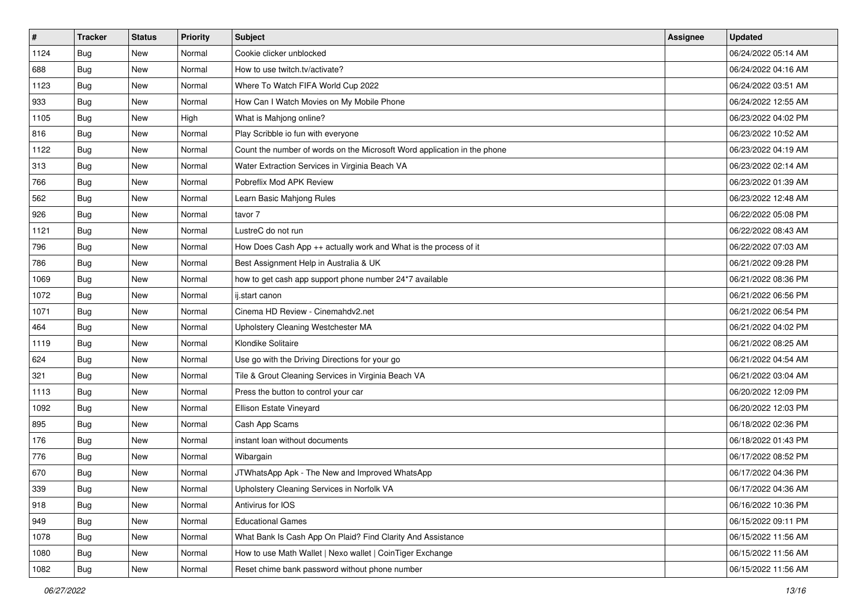| $\sharp$ | <b>Tracker</b> | <b>Status</b> | Priority | <b>Subject</b>                                                           | <b>Assignee</b> | <b>Updated</b>      |
|----------|----------------|---------------|----------|--------------------------------------------------------------------------|-----------------|---------------------|
| 1124     | <b>Bug</b>     | New           | Normal   | Cookie clicker unblocked                                                 |                 | 06/24/2022 05:14 AM |
| 688      | Bug            | New           | Normal   | How to use twitch.tv/activate?                                           |                 | 06/24/2022 04:16 AM |
| 1123     | Bug            | New           | Normal   | Where To Watch FIFA World Cup 2022                                       |                 | 06/24/2022 03:51 AM |
| 933      | Bug            | New           | Normal   | How Can I Watch Movies on My Mobile Phone                                |                 | 06/24/2022 12:55 AM |
| 1105     | Bug            | New           | High     | What is Mahjong online?                                                  |                 | 06/23/2022 04:02 PM |
| 816      | Bug            | New           | Normal   | Play Scribble io fun with everyone                                       |                 | 06/23/2022 10:52 AM |
| 1122     | Bug            | New           | Normal   | Count the number of words on the Microsoft Word application in the phone |                 | 06/23/2022 04:19 AM |
| 313      | Bug            | New           | Normal   | Water Extraction Services in Virginia Beach VA                           |                 | 06/23/2022 02:14 AM |
| 766      | Bug            | New           | Normal   | Pobreflix Mod APK Review                                                 |                 | 06/23/2022 01:39 AM |
| 562      | Bug            | New           | Normal   | Learn Basic Mahjong Rules                                                |                 | 06/23/2022 12:48 AM |
| 926      | <b>Bug</b>     | New           | Normal   | tavor 7                                                                  |                 | 06/22/2022 05:08 PM |
| 1121     | Bug            | New           | Normal   | LustreC do not run                                                       |                 | 06/22/2022 08:43 AM |
| 796      | Bug            | New           | Normal   | How Does Cash App ++ actually work and What is the process of it         |                 | 06/22/2022 07:03 AM |
| 786      | Bug            | New           | Normal   | Best Assignment Help in Australia & UK                                   |                 | 06/21/2022 09:28 PM |
| 1069     | Bug            | New           | Normal   | how to get cash app support phone number 24*7 available                  |                 | 06/21/2022 08:36 PM |
| 1072     | Bug            | New           | Normal   | ij.start canon                                                           |                 | 06/21/2022 06:56 PM |
| 1071     | Bug            | New           | Normal   | Cinema HD Review - Cinemahdv2.net                                        |                 | 06/21/2022 06:54 PM |
| 464      | Bug            | New           | Normal   | Upholstery Cleaning Westchester MA                                       |                 | 06/21/2022 04:02 PM |
| 1119     | Bug            | New           | Normal   | Klondike Solitaire                                                       |                 | 06/21/2022 08:25 AM |
| 624      | Bug            | New           | Normal   | Use go with the Driving Directions for your go                           |                 | 06/21/2022 04:54 AM |
| 321      | <b>Bug</b>     | New           | Normal   | Tile & Grout Cleaning Services in Virginia Beach VA                      |                 | 06/21/2022 03:04 AM |
| 1113     | Bug            | New           | Normal   | Press the button to control your car                                     |                 | 06/20/2022 12:09 PM |
| 1092     | Bug            | New           | Normal   | Ellison Estate Vineyard                                                  |                 | 06/20/2022 12:03 PM |
| 895      | <b>Bug</b>     | New           | Normal   | Cash App Scams                                                           |                 | 06/18/2022 02:36 PM |
| 176      | Bug            | New           | Normal   | instant loan without documents                                           |                 | 06/18/2022 01:43 PM |
| 776      | Bug            | New           | Normal   | Wibargain                                                                |                 | 06/17/2022 08:52 PM |
| 670      | <b>Bug</b>     | New           | Normal   | JTWhatsApp Apk - The New and Improved WhatsApp                           |                 | 06/17/2022 04:36 PM |
| 339      | I Bug          | New           | Normal   | Upholstery Cleaning Services in Norfolk VA                               |                 | 06/17/2022 04:36 AM |
| 918      | <b>Bug</b>     | New           | Normal   | Antivirus for IOS                                                        |                 | 06/16/2022 10:36 PM |
| 949      | <b>Bug</b>     | New           | Normal   | <b>Educational Games</b>                                                 |                 | 06/15/2022 09:11 PM |
| 1078     | Bug            | New           | Normal   | What Bank Is Cash App On Plaid? Find Clarity And Assistance              |                 | 06/15/2022 11:56 AM |
| 1080     | <b>Bug</b>     | New           | Normal   | How to use Math Wallet   Nexo wallet   CoinTiger Exchange                |                 | 06/15/2022 11:56 AM |
| 1082     | Bug            | New           | Normal   | Reset chime bank password without phone number                           |                 | 06/15/2022 11:56 AM |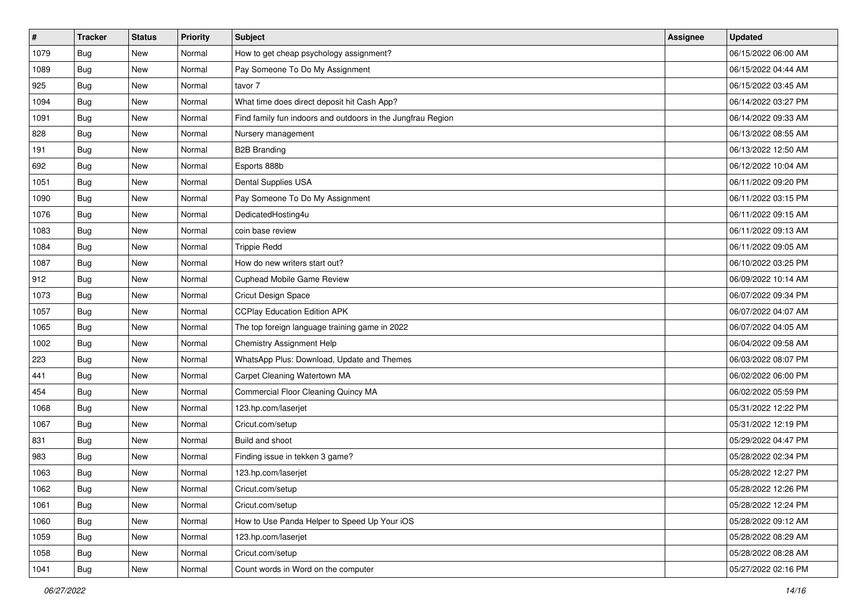| $\sharp$ | <b>Tracker</b> | <b>Status</b> | Priority | <b>Subject</b>                                              | <b>Assignee</b> | <b>Updated</b>      |
|----------|----------------|---------------|----------|-------------------------------------------------------------|-----------------|---------------------|
| 1079     | <b>Bug</b>     | New           | Normal   | How to get cheap psychology assignment?                     |                 | 06/15/2022 06:00 AM |
| 1089     | Bug            | New           | Normal   | Pay Someone To Do My Assignment                             |                 | 06/15/2022 04:44 AM |
| 925      | Bug            | New           | Normal   | tavor 7                                                     |                 | 06/15/2022 03:45 AM |
| 1094     | Bug            | New           | Normal   | What time does direct deposit hit Cash App?                 |                 | 06/14/2022 03:27 PM |
| 1091     | Bug            | New           | Normal   | Find family fun indoors and outdoors in the Jungfrau Region |                 | 06/14/2022 09:33 AM |
| 828      | Bug            | New           | Normal   | Nursery management                                          |                 | 06/13/2022 08:55 AM |
| 191      | Bug            | New           | Normal   | <b>B2B Branding</b>                                         |                 | 06/13/2022 12:50 AM |
| 692      | Bug            | New           | Normal   | Esports 888b                                                |                 | 06/12/2022 10:04 AM |
| 1051     | Bug            | New           | Normal   | Dental Supplies USA                                         |                 | 06/11/2022 09:20 PM |
| 1090     | Bug            | New           | Normal   | Pay Someone To Do My Assignment                             |                 | 06/11/2022 03:15 PM |
| 1076     | Bug            | New           | Normal   | DedicatedHosting4u                                          |                 | 06/11/2022 09:15 AM |
| 1083     | Bug            | New           | Normal   | coin base review                                            |                 | 06/11/2022 09:13 AM |
| 1084     | Bug            | New           | Normal   | <b>Trippie Redd</b>                                         |                 | 06/11/2022 09:05 AM |
| 1087     | Bug            | New           | Normal   | How do new writers start out?                               |                 | 06/10/2022 03:25 PM |
| 912      | Bug            | New           | Normal   | Cuphead Mobile Game Review                                  |                 | 06/09/2022 10:14 AM |
| 1073     | Bug            | New           | Normal   | Cricut Design Space                                         |                 | 06/07/2022 09:34 PM |
| 1057     | Bug            | New           | Normal   | <b>CCPlay Education Edition APK</b>                         |                 | 06/07/2022 04:07 AM |
| 1065     | Bug            | New           | Normal   | The top foreign language training game in 2022              |                 | 06/07/2022 04:05 AM |
| 1002     | <b>Bug</b>     | New           | Normal   | Chemistry Assignment Help                                   |                 | 06/04/2022 09:58 AM |
| 223      | Bug            | New           | Normal   | WhatsApp Plus: Download, Update and Themes                  |                 | 06/03/2022 08:07 PM |
| 441      | Bug            | New           | Normal   | Carpet Cleaning Watertown MA                                |                 | 06/02/2022 06:00 PM |
| 454      | Bug            | New           | Normal   | Commercial Floor Cleaning Quincy MA                         |                 | 06/02/2022 05:59 PM |
| 1068     | Bug            | New           | Normal   | 123.hp.com/laserjet                                         |                 | 05/31/2022 12:22 PM |
| 1067     | <b>Bug</b>     | New           | Normal   | Cricut.com/setup                                            |                 | 05/31/2022 12:19 PM |
| 831      | Bug            | New           | Normal   | Build and shoot                                             |                 | 05/29/2022 04:47 PM |
| 983      | Bug            | New           | Normal   | Finding issue in tekken 3 game?                             |                 | 05/28/2022 02:34 PM |
| 1063     | <b>Bug</b>     | New           | Normal   | 123.hp.com/laserjet                                         |                 | 05/28/2022 12:27 PM |
| 1062     | I Bug          | New           | Normal   | Cricut.com/setup                                            |                 | 05/28/2022 12:26 PM |
| 1061     | Bug            | New           | Normal   | Cricut.com/setup                                            |                 | 05/28/2022 12:24 PM |
| 1060     | <b>Bug</b>     | New           | Normal   | How to Use Panda Helper to Speed Up Your iOS                |                 | 05/28/2022 09:12 AM |
| 1059     | Bug            | New           | Normal   | 123.hp.com/laserjet                                         |                 | 05/28/2022 08:29 AM |
| 1058     | <b>Bug</b>     | New           | Normal   | Cricut.com/setup                                            |                 | 05/28/2022 08:28 AM |
| 1041     | <b>Bug</b>     | New           | Normal   | Count words in Word on the computer                         |                 | 05/27/2022 02:16 PM |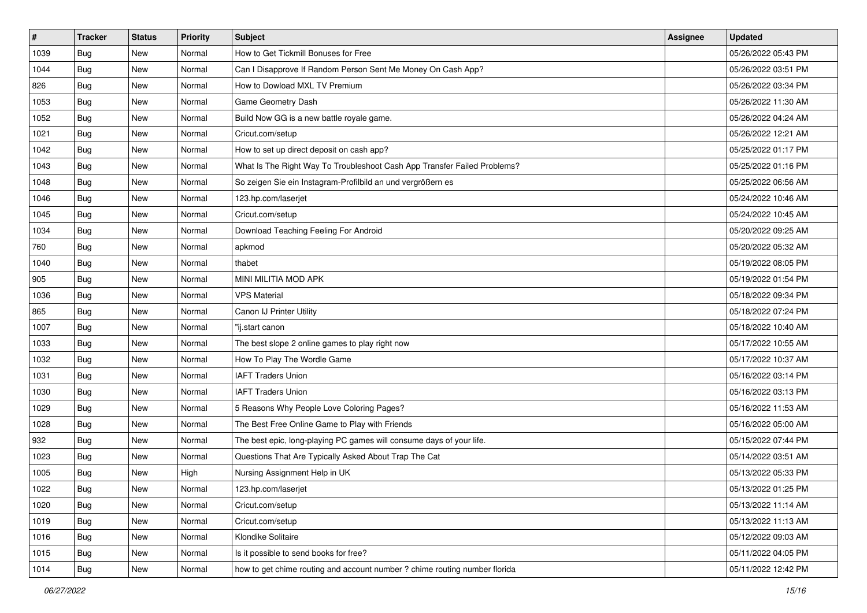| $\sharp$ | <b>Tracker</b> | <b>Status</b> | Priority | <b>Subject</b>                                                             | <b>Assignee</b> | <b>Updated</b>      |
|----------|----------------|---------------|----------|----------------------------------------------------------------------------|-----------------|---------------------|
| 1039     | Bug            | New           | Normal   | How to Get Tickmill Bonuses for Free                                       |                 | 05/26/2022 05:43 PM |
| 1044     | Bug            | New           | Normal   | Can I Disapprove If Random Person Sent Me Money On Cash App?               |                 | 05/26/2022 03:51 PM |
| 826      | Bug            | New           | Normal   | How to Dowload MXL TV Premium                                              |                 | 05/26/2022 03:34 PM |
| 1053     | Bug            | New           | Normal   | Game Geometry Dash                                                         |                 | 05/26/2022 11:30 AM |
| 1052     | Bug            | <b>New</b>    | Normal   | Build Now GG is a new battle royale game.                                  |                 | 05/26/2022 04:24 AM |
| 1021     | Bug            | New           | Normal   | Cricut.com/setup                                                           |                 | 05/26/2022 12:21 AM |
| 1042     | Bug            | New           | Normal   | How to set up direct deposit on cash app?                                  |                 | 05/25/2022 01:17 PM |
| 1043     | Bug            | New           | Normal   | What Is The Right Way To Troubleshoot Cash App Transfer Failed Problems?   |                 | 05/25/2022 01:16 PM |
| 1048     | Bug            | New           | Normal   | So zeigen Sie ein Instagram-Profilbild an und vergrößern es                |                 | 05/25/2022 06:56 AM |
| 1046     | Bug            | <b>New</b>    | Normal   | 123.hp.com/laserjet                                                        |                 | 05/24/2022 10:46 AM |
| 1045     | <b>Bug</b>     | New           | Normal   | Cricut.com/setup                                                           |                 | 05/24/2022 10:45 AM |
| 1034     | Bug            | New           | Normal   | Download Teaching Feeling For Android                                      |                 | 05/20/2022 09:25 AM |
| 760      | Bug            | New           | Normal   | apkmod                                                                     |                 | 05/20/2022 05:32 AM |
| 1040     | Bug            | New           | Normal   | thabet                                                                     |                 | 05/19/2022 08:05 PM |
| 905      | Bug            | New           | Normal   | <b>MINI MILITIA MOD APK</b>                                                |                 | 05/19/2022 01:54 PM |
| 1036     | Bug            | New           | Normal   | <b>VPS Material</b>                                                        |                 | 05/18/2022 09:34 PM |
| 865      | Bug            | New           | Normal   | Canon IJ Printer Utility                                                   |                 | 05/18/2022 07:24 PM |
| 1007     | Bug            | <b>New</b>    | Normal   | "ij.start canon                                                            |                 | 05/18/2022 10:40 AM |
| 1033     | <b>Bug</b>     | New           | Normal   | The best slope 2 online games to play right now                            |                 | 05/17/2022 10:55 AM |
| 1032     | Bug            | New           | Normal   | How To Play The Wordle Game                                                |                 | 05/17/2022 10:37 AM |
| 1031     | <b>Bug</b>     | New           | Normal   | <b>IAFT Traders Union</b>                                                  |                 | 05/16/2022 03:14 PM |
| 1030     | Bug            | New           | Normal   | <b>IAFT Traders Union</b>                                                  |                 | 05/16/2022 03:13 PM |
| 1029     | Bug            | <b>New</b>    | Normal   | 5 Reasons Why People Love Coloring Pages?                                  |                 | 05/16/2022 11:53 AM |
| 1028     | <b>Bug</b>     | New           | Normal   | The Best Free Online Game to Play with Friends                             |                 | 05/16/2022 05:00 AM |
| 932      | Bug            | New           | Normal   | The best epic, long-playing PC games will consume days of your life.       |                 | 05/15/2022 07:44 PM |
| 1023     | Bug            | New           | Normal   | Questions That Are Typically Asked About Trap The Cat                      |                 | 05/14/2022 03:51 AM |
| 1005     | <b>Bug</b>     | New           | High     | Nursing Assignment Help in UK                                              |                 | 05/13/2022 05:33 PM |
| 1022     | I Bug          | New           | Normal   | 123.hp.com/laserjet                                                        |                 | 05/13/2022 01:25 PM |
| 1020     | <b>Bug</b>     | New           | Normal   | Cricut.com/setup                                                           |                 | 05/13/2022 11:14 AM |
| 1019     | <b>Bug</b>     | New           | Normal   | Cricut.com/setup                                                           |                 | 05/13/2022 11:13 AM |
| 1016     | Bug            | New           | Normal   | Klondike Solitaire                                                         |                 | 05/12/2022 09:03 AM |
| 1015     | <b>Bug</b>     | New           | Normal   | Is it possible to send books for free?                                     |                 | 05/11/2022 04:05 PM |
| 1014     | <b>Bug</b>     | New           | Normal   | how to get chime routing and account number ? chime routing number florida |                 | 05/11/2022 12:42 PM |